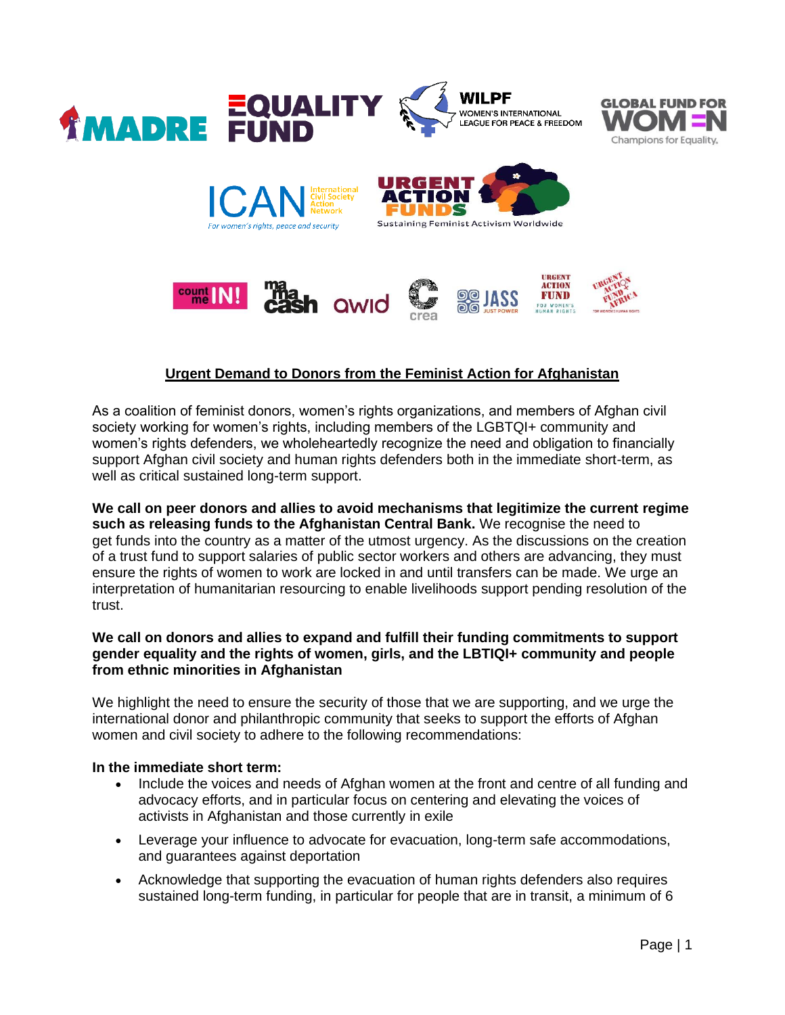

# **Urgent Demand to Donors from the Feminist Action for Afghanistan**

As a coalition of feminist donors, women's rights organizations, and members of Afghan civil society working for women's rights, including members of the LGBTQI+ community and women's rights defenders, we wholeheartedly recognize the need and obligation to financially support Afghan civil society and human rights defenders both in the immediate short-term, as well as critical sustained long-term support.

**We call on peer donors and allies to avoid mechanisms that legitimize the current regime such as releasing funds to the Afghanistan Central Bank.** We recognise the need to get funds into the country as a matter of the utmost urgency. As the discussions on the creation of a trust fund to support salaries of public sector workers and others are advancing, they must ensure the rights of women to work are locked in and until transfers can be made. We urge an interpretation of humanitarian resourcing to enable livelihoods support pending resolution of the trust.

## **We call on donors and allies to expand and fulfill their funding commitments to support gender equality and the rights of women, girls, and the LBTIQI+ community and people from ethnic minorities in Afghanistan**

We highlight the need to ensure the security of those that we are supporting, and we urge the international donor and philanthropic community that seeks to support the efforts of Afghan women and civil society to adhere to the following recommendations:

### **In the immediate short term:**

- Include the voices and needs of Afghan women at the front and centre of all funding and advocacy efforts, and in particular focus on centering and elevating the voices of activists in Afghanistan and those currently in exile
- Leverage your influence to advocate for evacuation, long-term safe accommodations, and guarantees against deportation
- Acknowledge that supporting the evacuation of human rights defenders also requires sustained long-term funding, in particular for people that are in transit, a minimum of 6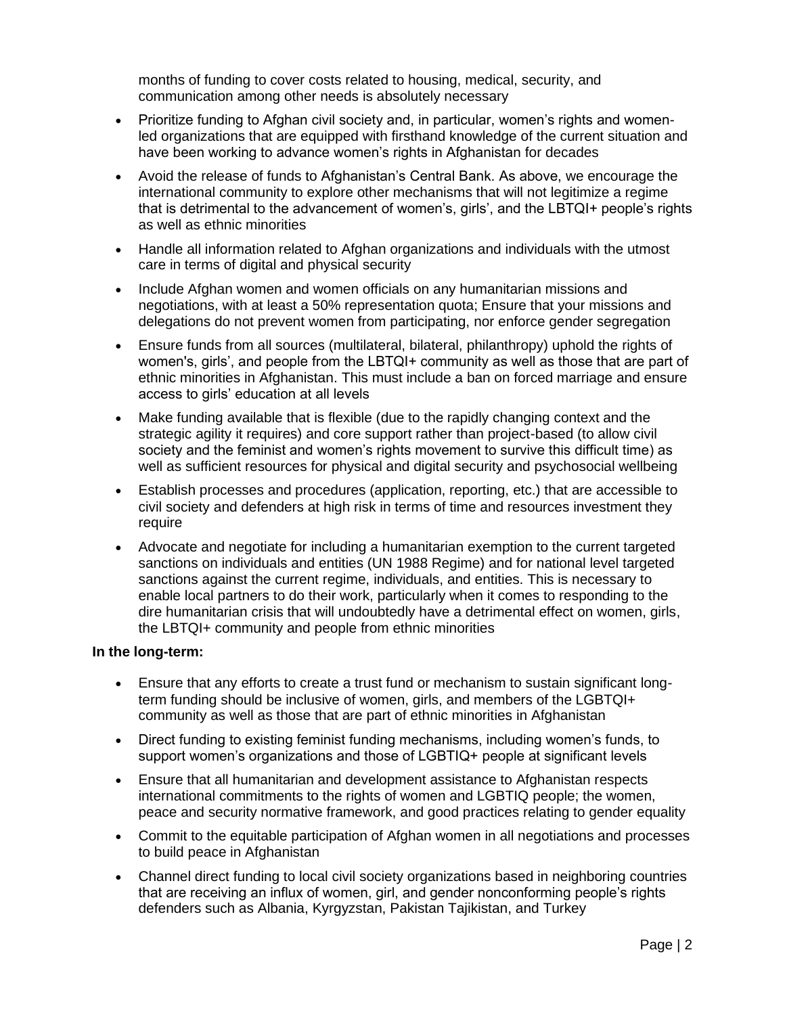months of funding to cover costs related to housing, medical, security, and communication among other needs is absolutely necessary

- Prioritize funding to Afghan civil society and, in particular, women's rights and womenled organizations that are equipped with firsthand knowledge of the current situation and have been working to advance women's rights in Afghanistan for decades
- Avoid the release of funds to Afghanistan's Central Bank. As above, we encourage the international community to explore other mechanisms that will not legitimize a regime that is detrimental to the advancement of women's, girls', and the LBTQI+ people's rights as well as ethnic minorities
- Handle all information related to Afghan organizations and individuals with the utmost care in terms of digital and physical security
- Include Afghan women and women officials on any humanitarian missions and negotiations, with at least a 50% representation quota; Ensure that your missions and delegations do not prevent women from participating, nor enforce gender segregation
- Ensure funds from all sources (multilateral, bilateral, philanthropy) uphold the rights of women's, girls', and people from the LBTQI+ community as well as those that are part of ethnic minorities in Afghanistan. This must include a ban on forced marriage and ensure access to girls' education at all levels
- Make funding available that is flexible (due to the rapidly changing context and the strategic agility it requires) and core support rather than project-based (to allow civil society and the feminist and women's rights movement to survive this difficult time) as well as sufficient resources for physical and digital security and psychosocial wellbeing
- Establish processes and procedures (application, reporting, etc.) that are accessible to civil society and defenders at high risk in terms of time and resources investment they require
- Advocate and negotiate for including a humanitarian exemption to the current targeted sanctions on individuals and entities (UN 1988 Regime) and for national level targeted sanctions against the current regime, individuals, and entities. This is necessary to enable local partners to do their work, particularly when it comes to responding to the dire humanitarian crisis that will undoubtedly have a detrimental effect on women, girls, the LBTQI+ community and people from ethnic minorities

### **In the long-term:**

- Ensure that any efforts to create a trust fund or mechanism to sustain significant longterm funding should be inclusive of women, girls, and members of the LGBTQI+ community as well as those that are part of ethnic minorities in Afghanistan
- Direct funding to existing feminist funding mechanisms, including women's funds, to support women's organizations and those of LGBTIQ+ people at significant levels
- Ensure that all humanitarian and development assistance to Afghanistan respects international commitments to the rights of women and LGBTIQ people; the women, peace and security normative framework, and good practices relating to gender equality
- Commit to the equitable participation of Afghan women in all negotiations and processes to build peace in Afghanistan
- Channel direct funding to local civil society organizations based in neighboring countries that are receiving an influx of women, girl, and gender nonconforming people's rights defenders such as Albania, Kyrgyzstan, Pakistan Tajikistan, and Turkey